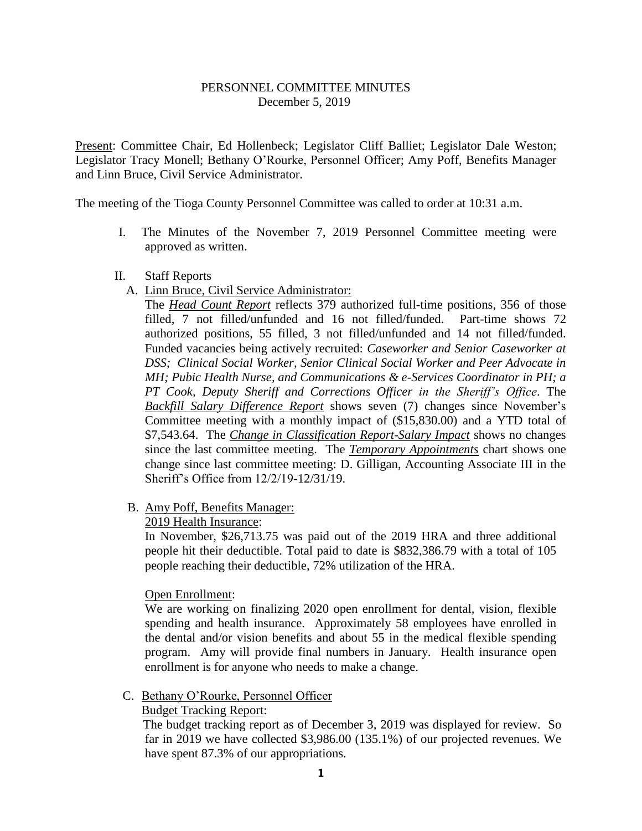# PERSONNEL COMMITTEE MINUTES December 5, 2019

Present: Committee Chair, Ed Hollenbeck; Legislator Cliff Balliet; Legislator Dale Weston; Legislator Tracy Monell; Bethany O'Rourke, Personnel Officer; Amy Poff, Benefits Manager and Linn Bruce, Civil Service Administrator.

The meeting of the Tioga County Personnel Committee was called to order at 10:31 a.m.

I. The Minutes of the November 7, 2019 Personnel Committee meeting were approved as written.

## II. Staff Reports

A. Linn Bruce, Civil Service Administrator:

The *Head Count Report* reflects 379 authorized full-time positions, 356 of those filled, 7 not filled/unfunded and 16 not filled/funded. Part-time shows 72 authorized positions, 55 filled, 3 not filled/unfunded and 14 not filled/funded. Funded vacancies being actively recruited: *Caseworker and Senior Caseworker at DSS; Clinical Social Worker, Senior Clinical Social Worker and Peer Advocate in MH; Pubic Health Nurse, and Communications & e-Services Coordinator in PH; a PT Cook, Deputy Sheriff and Corrections Officer in the Sheriff's Office*. The *Backfill Salary Difference Report* shows seven (7) changes since November's Committee meeting with a monthly impact of (\$15,830.00) and a YTD total of \$7,543.64. The *Change in Classification Report-Salary Impact* shows no changes since the last committee meeting. The *Temporary Appointments* chart shows one change since last committee meeting: D. Gilligan, Accounting Associate III in the Sheriff's Office from 12/2/19-12/31/19.

B. Amy Poff, Benefits Manager:

## 2019 Health Insurance:

In November, \$26,713.75 was paid out of the 2019 HRA and three additional people hit their deductible. Total paid to date is \$832,386.79 with a total of 105 people reaching their deductible, 72% utilization of the HRA.

## Open Enrollment:

We are working on finalizing 2020 open enrollment for dental, vision, flexible spending and health insurance. Approximately 58 employees have enrolled in the dental and/or vision benefits and about 55 in the medical flexible spending program. Amy will provide final numbers in January. Health insurance open enrollment is for anyone who needs to make a change.

## C. Bethany O'Rourke, Personnel Officer

## Budget Tracking Report:

 The budget tracking report as of December 3, 2019 was displayed for review. So far in 2019 we have collected \$3,986.00 (135.1%) of our projected revenues. We have spent 87.3% of our appropriations.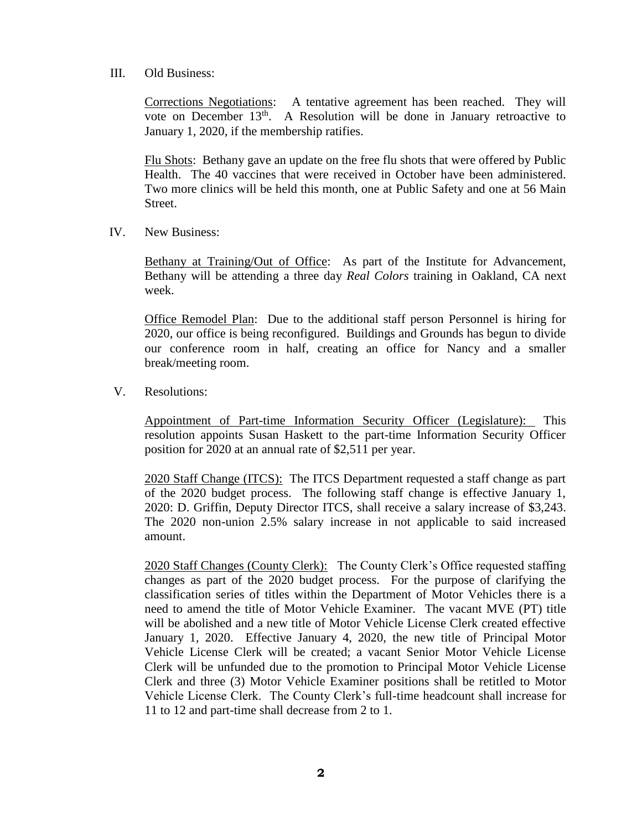III. Old Business:

Corrections Negotiations: A tentative agreement has been reached. They will vote on December 13<sup>th</sup>. A Resolution will be done in January retroactive to January 1, 2020, if the membership ratifies.

Flu Shots: Bethany gave an update on the free flu shots that were offered by Public Health. The 40 vaccines that were received in October have been administered. Two more clinics will be held this month, one at Public Safety and one at 56 Main Street.

IV. New Business:

Bethany at Training/Out of Office: As part of the Institute for Advancement, Bethany will be attending a three day *Real Colors* training in Oakland, CA next week.

Office Remodel Plan: Due to the additional staff person Personnel is hiring for 2020, our office is being reconfigured. Buildings and Grounds has begun to divide our conference room in half, creating an office for Nancy and a smaller break/meeting room.

V. Resolutions:

Appointment of Part-time Information Security Officer (Legislature): This resolution appoints Susan Haskett to the part-time Information Security Officer position for 2020 at an annual rate of \$2,511 per year.

2020 Staff Change (ITCS): The ITCS Department requested a staff change as part of the 2020 budget process. The following staff change is effective January 1, 2020: D. Griffin, Deputy Director ITCS, shall receive a salary increase of \$3,243. The 2020 non-union 2.5% salary increase in not applicable to said increased amount.

2020 Staff Changes (County Clerk): The County Clerk's Office requested staffing changes as part of the 2020 budget process. For the purpose of clarifying the classification series of titles within the Department of Motor Vehicles there is a need to amend the title of Motor Vehicle Examiner. The vacant MVE (PT) title will be abolished and a new title of Motor Vehicle License Clerk created effective January 1, 2020. Effective January 4, 2020, the new title of Principal Motor Vehicle License Clerk will be created; a vacant Senior Motor Vehicle License Clerk will be unfunded due to the promotion to Principal Motor Vehicle License Clerk and three (3) Motor Vehicle Examiner positions shall be retitled to Motor Vehicle License Clerk. The County Clerk's full-time headcount shall increase for 11 to 12 and part-time shall decrease from 2 to 1.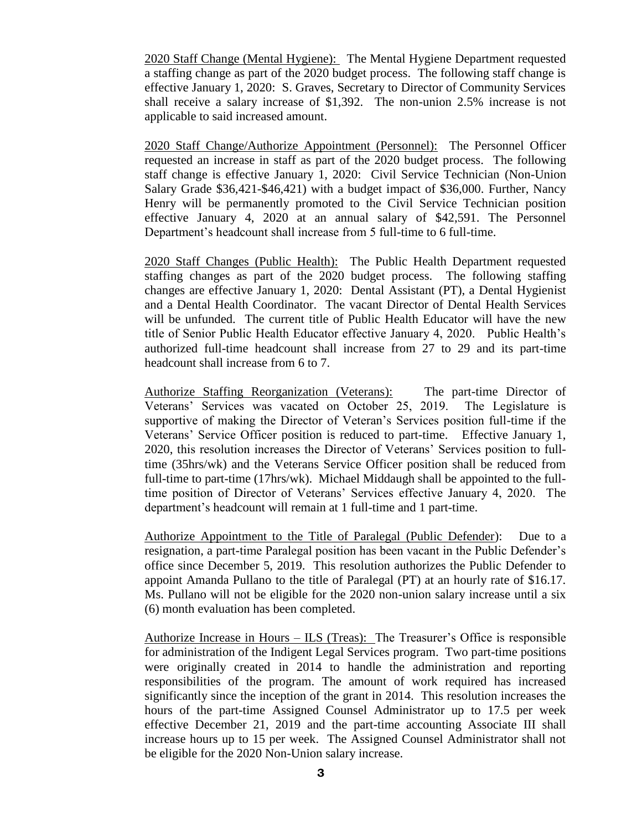2020 Staff Change (Mental Hygiene): The Mental Hygiene Department requested a staffing change as part of the 2020 budget process. The following staff change is effective January 1, 2020: S. Graves, Secretary to Director of Community Services shall receive a salary increase of \$1,392. The non-union 2.5% increase is not applicable to said increased amount.

2020 Staff Change/Authorize Appointment (Personnel): The Personnel Officer requested an increase in staff as part of the 2020 budget process. The following staff change is effective January 1, 2020: Civil Service Technician (Non-Union Salary Grade \$36,421-\$46,421) with a budget impact of \$36,000. Further, Nancy Henry will be permanently promoted to the Civil Service Technician position effective January 4, 2020 at an annual salary of \$42,591. The Personnel Department's headcount shall increase from 5 full-time to 6 full-time.

2020 Staff Changes (Public Health): The Public Health Department requested staffing changes as part of the 2020 budget process. The following staffing changes are effective January 1, 2020: Dental Assistant (PT), a Dental Hygienist and a Dental Health Coordinator. The vacant Director of Dental Health Services will be unfunded. The current title of Public Health Educator will have the new title of Senior Public Health Educator effective January 4, 2020. Public Health's authorized full-time headcount shall increase from 27 to 29 and its part-time headcount shall increase from 6 to 7.

Authorize Staffing Reorganization (Veterans): The part-time Director of Veterans' Services was vacated on October 25, 2019. The Legislature is supportive of making the Director of Veteran's Services position full-time if the Veterans' Service Officer position is reduced to part-time. Effective January 1, 2020, this resolution increases the Director of Veterans' Services position to fulltime (35hrs/wk) and the Veterans Service Officer position shall be reduced from full-time to part-time (17hrs/wk). Michael Middaugh shall be appointed to the fulltime position of Director of Veterans' Services effective January 4, 2020. The department's headcount will remain at 1 full-time and 1 part-time.

Authorize Appointment to the Title of Paralegal (Public Defender): Due to a resignation, a part-time Paralegal position has been vacant in the Public Defender's office since December 5, 2019. This resolution authorizes the Public Defender to appoint Amanda Pullano to the title of Paralegal (PT) at an hourly rate of \$16.17. Ms. Pullano will not be eligible for the 2020 non-union salary increase until a six (6) month evaluation has been completed.

Authorize Increase in Hours – ILS (Treas): The Treasurer's Office is responsible for administration of the Indigent Legal Services program. Two part-time positions were originally created in 2014 to handle the administration and reporting responsibilities of the program. The amount of work required has increased significantly since the inception of the grant in 2014. This resolution increases the hours of the part-time Assigned Counsel Administrator up to 17.5 per week effective December 21, 2019 and the part-time accounting Associate III shall increase hours up to 15 per week. The Assigned Counsel Administrator shall not be eligible for the 2020 Non-Union salary increase.